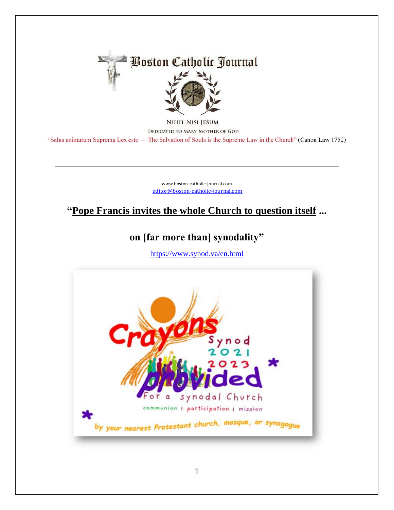

NIHIL NISI JESUM DEDICATED TO MARY, MOTHER OF GOD "Salus animarum Suprema Lex esto — The Salvation of Souls is the Supreme Law in the Church" (Canon Law 1752)

> [www.boston-catholic-journal.com](http://www.boston-catholic-journal.com/) [editor@boston-catholic-journal.com](mailto:editor@boston-catholic-journal.com)

\_\_\_\_\_\_\_\_\_\_\_\_\_\_\_\_\_\_\_\_\_\_\_\_\_\_\_\_\_\_\_\_\_\_\_\_\_\_\_\_\_\_\_\_\_\_\_\_\_\_\_\_\_\_\_\_\_\_\_\_\_\_\_

## **"Pope Francis invites the whole Church to question itself ...**

## **on [far more than] synodality"**

<https://www.synod.va/en.html>

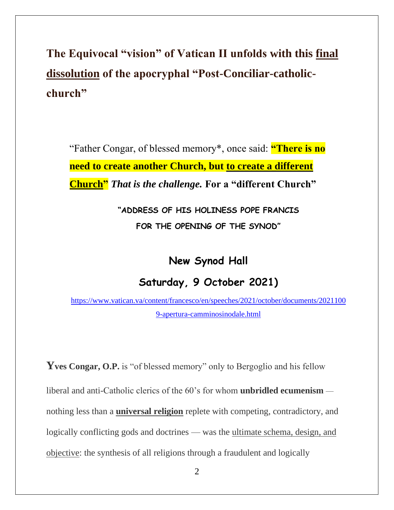**The Equivocal "vision" of Vatican II unfolds with this final dissolution of the apocryphal "Post-Conciliar-catholicchurch"**

"Father Congar, of blessed memory\*, once said: **"There is no need to create another Church, but to create a different Church"** *That is the challenge.* **For a "different Church"** 

> **"ADDRESS OF HIS HOLINESS POPE FRANCIS FOR THE OPENING OF THE SYNOD"**

> > **New Synod Hall**

## **Saturday, 9 October 2021)**

[https://www.vatican.va/content/francesco/en/speeches/2021/october/documents/2021100](https://www.vatican.va/content/francesco/en/speeches/2021/october/documents/20211009-apertura-camminosinodale.html) [9-apertura-camminosinodale.html](https://www.vatican.va/content/francesco/en/speeches/2021/october/documents/20211009-apertura-camminosinodale.html)

**Yves Congar, O.P.** is "of blessed memory" only to Bergoglio and his fellow liberal and anti-Catholic clerics of the 60's for whom **unbridled ecumenism** nothing less than a **universal religion** replete with competing, contradictory, and logically conflicting gods and doctrines — was the ultimate schema, design, and objective: the synthesis of all religions through a fraudulent and logically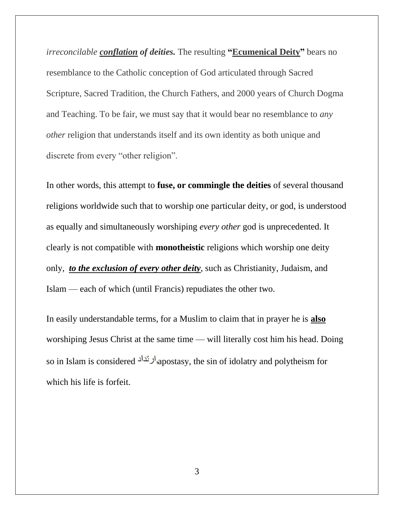*irreconcilable conflation of deities.* The resulting **"Ecumenical Deity"** bears no resemblance to the Catholic conception of God articulated through Sacred Scripture, Sacred Tradition, the Church Fathers, and 2000 years of Church Dogma and Teaching. To be fair, we must say that it would bear no resemblance to *any other* religion that understands itself and its own identity as both unique and discrete from every "other religion".

In other words, this attempt to **fuse, or commingle the deities** of several thousand religions worldwide such that to worship one particular deity, or god, is understood as equally and simultaneously worshiping *every other* god is unprecedented. It clearly is not compatible with **monotheistic** religions which worship one deity only, *to the exclusion of every other deity*, such as Christianity, Judaism, and Islam — each of which (until Francis) repudiates the other two.

In easily understandable terms, for a Muslim to claim that in prayer he is **also** worshiping Jesus Christ at the same time — will literally cost him his head. Doing so in Islam is considered <sup>ا</sup>لرنداد,<sub>apostasy</sub>, the sin of idolatry and polytheism for which his life is forfeit.

3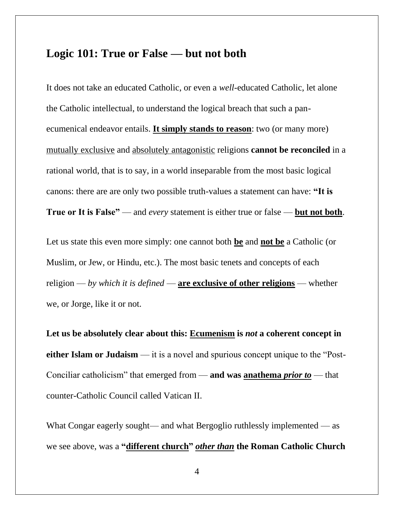## **Logic 101: True or False — but not both**

It does not take an educated Catholic, or even a *well*-educated Catholic, let alone the Catholic intellectual, to understand the logical breach that such a panecumenical endeavor entails. **It simply stands to reason**: two (or many more) mutually exclusive and absolutely antagonistic religions **cannot be reconciled** in a rational world, that is to say, in a world inseparable from the most basic logical canons: there are are only two possible truth-values a statement can have: **"It is True or It is False"** — and *every* statement is either true or false — **but not both**.

Let us state this even more simply: one cannot both **be** and **not be** a Catholic (or Muslim, or Jew, or Hindu, etc.). The most basic tenets and concepts of each religion — *by which it is defined* — **are exclusive of other religions** — whether we, or Jorge, like it or not.

**Let us be absolutely clear about this: Ecumenism is** *not* **a coherent concept in either Islam or Judaism** — it is a novel and spurious concept unique to the "Post-Conciliar catholicism" that emerged from — **and was anathema** *prior to* — that counter-Catholic Council called Vatican II.

What Congar eagerly sought— and what Bergoglio ruthlessly implemented — as we see above, was a **"different church"** *other than* **the Roman Catholic Church**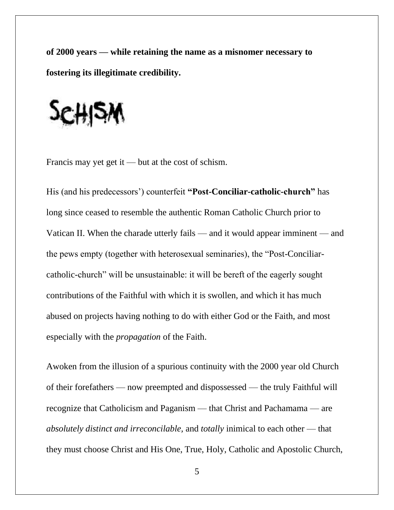**of 2000 years — while retaining the name as a misnomer necessary to fostering its illegitimate credibility.**



Francis may yet get it — but at the cost of schism.

His (and his predecessors') counterfeit **"Post-Conciliar-catholic-church"** has long since ceased to resemble the authentic Roman Catholic Church prior to Vatican II. When the charade utterly fails — and it would appear imminent — and the pews empty (together with heterosexual seminaries), the "Post-Conciliarcatholic-church" will be unsustainable: it will be bereft of the eagerly sought contributions of the Faithful with which it is swollen, and which it has much abused on projects having nothing to do with either God or the Faith, and most especially with the *propagation* of the Faith.

Awoken from the illusion of a spurious continuity with the 2000 year old Church of their forefathers — now preempted and dispossessed — the truly Faithful will recognize that Catholicism and Paganism — that Christ and Pachamama — are *absolutely distinct and irreconcilable,* and *totally* inimical to each other — that they must choose Christ and His One, True, Holy, Catholic and Apostolic Church,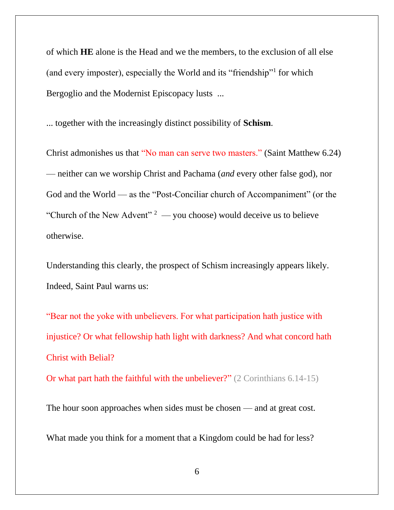of which **HE** alone is the Head and we the members, to the exclusion of all else (and every imposter), especially the World and its "friendship"<sup>1</sup> for which Bergoglio and the Modernist Episcopacy lusts ...

... together with the increasingly distinct possibility of **Schism**.

Christ admonishes us that "No man can serve two masters." (Saint Matthew 6.24) — neither can we worship Christ and Pachama (*and* every other false god), nor God and the World — as the "Post-Conciliar church of Accompaniment" (or the "Church of the New Advent"  $2 -$  you choose) would deceive us to believe otherwise.

Understanding this clearly, the prospect of Schism increasingly appears likely. Indeed, Saint Paul warns us:

"Bear not the yoke with unbelievers. For what participation hath justice with injustice? Or what fellowship hath light with darkness? And what concord hath Christ with Belial?

Or what part hath the faithful with the unbeliever?" (2 Corinthians 6.14-15)

The hour soon approaches when sides must be chosen — and at great cost. What made you think for a moment that a Kingdom could be had for less?